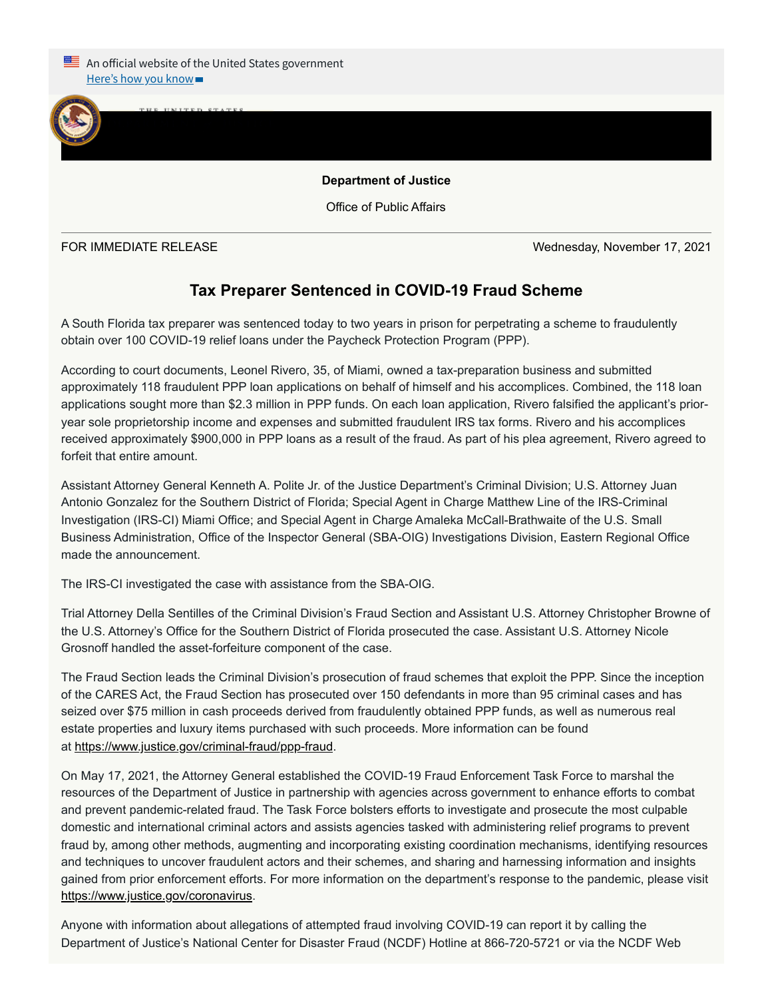

## **Department of Justice**

Office of Public Affairs

FOR IMMEDIATE RELEASE Wednesday, November 17, 2021

## **Tax Preparer Sentenced in COVID-19 Fraud Scheme**

A South Florida tax preparer was sentenced today to two years in prison for perpetrating a scheme to fraudulently obtain over 100 COVID-19 relief loans under the Paycheck Protection Program (PPP).

According to court documents, Leonel Rivero, 35, of Miami, owned a tax-preparation business and submitted approximately 118 fraudulent PPP loan applications on behalf of himself and his accomplices. Combined, the 118 loan applications sought more than \$2.3 million in PPP funds. On each loan application, Rivero falsified the applicant's prioryear sole proprietorship income and expenses and submitted fraudulent IRS tax forms. Rivero and his accomplices received approximately \$900,000 in PPP loans as a result of the fraud. As part of his plea agreement, Rivero agreed to forfeit that entire amount.

Assistant Attorney General Kenneth A. Polite Jr. of the Justice Department's Criminal Division; U.S. Attorney Juan Antonio Gonzalez for the Southern District of Florida; Special Agent in Charge Matthew Line of the IRS-Criminal Investigation (IRS-CI) Miami Office; and Special Agent in Charge Amaleka McCall-Brathwaite of the U.S. Small Business Administration, Office of the Inspector General (SBA-OIG) Investigations Division, Eastern Regional Office made the announcement.

The IRS-CI investigated the case with assistance from the SBA-OIG.

Trial Attorney Della Sentilles of the Criminal Division's Fraud Section and Assistant U.S. Attorney Christopher Browne of the U.S. Attorney's Office for the Southern District of Florida prosecuted the case. Assistant U.S. Attorney Nicole Grosnoff handled the asset-forfeiture component of the case.

The Fraud Section leads the Criminal Division's prosecution of fraud schemes that exploit the PPP. Since the inception of the CARES Act, the Fraud Section has prosecuted over 150 defendants in more than 95 criminal cases and has seized over \$75 million in cash proceeds derived from fraudulently obtained PPP funds, as well as numerous real estate properties and luxury items purchased with such proceeds. More information can be found at <https://www.justice.gov/criminal-fraud/ppp-fraud>.

On May 17, 2021, the Attorney General established the COVID-19 Fraud Enforcement Task Force to marshal the resources of the Department of Justice in partnership with agencies across government to enhance efforts to combat and prevent pandemic-related fraud. The Task Force bolsters efforts to investigate and prosecute the most culpable domestic and international criminal actors and assists agencies tasked with administering relief programs to prevent fraud by, among other methods, augmenting and incorporating existing coordination mechanisms, identifying resources and techniques to uncover fraudulent actors and their schemes, and sharing and harnessing information and insights gained from prior enforcement efforts. For more information on the department's response to the pandemic, please visit <https://www.justice.gov/coronavirus>.

Anyone with information about allegations of attempted fraud involving COVID-19 can report it by calling the Department of Justice's National Center for Disaster Fraud (NCDF) Hotline at 866-720-5721 or via the NCDF Web